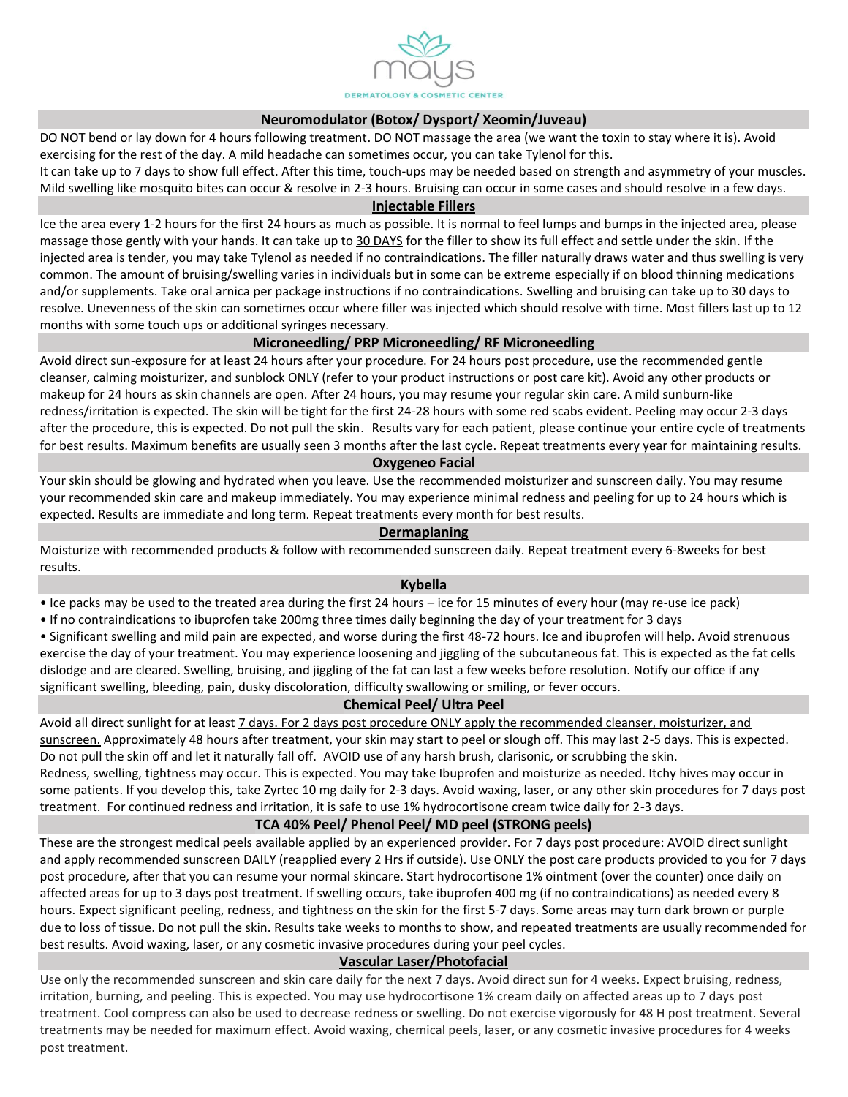

#### **Neuromodulator (Botox/ Dysport/ Xeomin/Juveau)**

DO NOT bend or lay down for 4 hours following treatment. DO NOT massage the area (we want the toxin to stay where it is). Avoid exercising for the rest of the day. A mild headache can sometimes occur, you can take Tylenol for this.

It can take up to 7 days to show full effect. After this time, touch-ups may be needed based on strength and asymmetry of your muscles. Mild swelling like mosquito bites can occur & resolve in 2-3 hours. Bruising can occur in some cases and should resolve in a few days.

#### **Injectable Fillers**

Ice the area every 1-2 hours for the first 24 hours as much as possible. It is normal to feel lumps and bumps in the injected area, please massage those gently with your hands. It can take up to 30 DAYS for the filler to show its full effect and settle under the skin. If the injected area is tender, you may take Tylenol as needed if no contraindications. The filler naturally draws water and thus swelling is very common. The amount of bruising/swelling varies in individuals but in some can be extreme especially if on blood thinning medications and/or supplements. Take oral arnica per package instructions if no contraindications. Swelling and bruising can take up to 30 days to resolve. Unevenness of the skin can sometimes occur where filler was injected which should resolve with time. Most fillers last up to 12 months with some touch ups or additional syringes necessary.

### **Microneedling/ PRP Microneedling/ RF Microneedling**

Avoid direct sun-exposure for at least 24 hours after your procedure. For 24 hours post procedure, use the recommended gentle cleanser, calming moisturizer, and sunblock ONLY (refer to your product instructions or post care kit). Avoid any other products or makeup for 24 hours as skin channels are open. After 24 hours, you may resume your regular skin care. A mild sunburn-like redness/irritation is expected. The skin will be tight for the first 24-28 hours with some red scabs evident. Peeling may occur 2-3 days after the procedure, this is expected. Do not pull the skin. Results vary for each patient, please continue your entire cycle of treatments for best results. Maximum benefits are usually seen 3 months after the last cycle. Repeat treatments every year for maintaining results.

### **Oxygeneo Facial**

Your skin should be glowing and hydrated when you leave. Use the recommended moisturizer and sunscreen daily. You may resume your recommended skin care and makeup immediately. You may experience minimal redness and peeling for up to 24 hours which is expected. Results are immediate and long term. Repeat treatments every month for best results.

### **Dermaplaning**

Moisturize with recommended products & follow with recommended sunscreen daily. Repeat treatment every 6-8weeks for best results.

### **Kybella**

• Ice packs may be used to the treated area during the first 24 hours – ice for 15 minutes of every hour (may re-use ice pack)

• If no contraindications to ibuprofen take 200mg three times daily beginning the day of your treatment for 3 days

• Significant swelling and mild pain are expected, and worse during the first 48-72 hours. Ice and ibuprofen will help. Avoid strenuous

exercise the day of your treatment. You may experience loosening and jiggling of the subcutaneous fat. This is expected as the fat cells dislodge and are cleared. Swelling, bruising, and jiggling of the fat can last a few weeks before resolution. Notify our office if any significant swelling, bleeding, pain, dusky discoloration, difficulty swallowing or smiling, or fever occurs.

### **Chemical Peel/ Ultra Peel**

Avoid all direct sunlight for at least 7 days. For 2 days post procedure ONLY apply the recommended cleanser, moisturizer, and sunscreen. Approximately 48 hours after treatment, your skin may start to peel or slough off. This may last 2-5 days. This is expected. Do not pull the skin off and let it naturally fall off. AVOID use of any harsh brush, clarisonic, or scrubbing the skin. Redness, swelling, tightness may occur. This is expected. You may take Ibuprofen and moisturize as needed. Itchy hives may occur in

some patients. If you develop this, take Zyrtec 10 mg daily for 2-3 days. Avoid waxing, laser, or any other skin procedures for 7 days post treatment. For continued redness and irritation, it is safe to use 1% hydrocortisone cream twice daily for 2-3 days.

### **TCA 40% Peel/ Phenol Peel/ MD peel (STRONG peels)**

These are the strongest medical peels available applied by an experienced provider. For 7 days post procedure: AVOID direct sunlight and apply recommended sunscreen DAILY (reapplied every 2 Hrs if outside). Use ONLY the post care products provided to you for 7 days post procedure, after that you can resume your normal skincare. Start hydrocortisone 1% ointment (over the counter) once daily on affected areas for up to 3 days post treatment. If swelling occurs, take ibuprofen 400 mg (if no contraindications) as needed every 8 hours. Expect significant peeling, redness, and tightness on the skin for the first 5-7 days. Some areas may turn dark brown or purple due to loss of tissue. Do not pull the skin. Results take weeks to months to show, and repeated treatments are usually recommended for best results. Avoid waxing, laser, or any cosmetic invasive procedures during your peel cycles.

### **Vascular Laser/Photofacial**

Use only the recommended sunscreen and skin care daily for the next 7 days. Avoid direct sun for 4 weeks. Expect bruising, redness, irritation, burning, and peeling. This is expected. You may use hydrocortisone 1% cream daily on affected areas up to 7 days post treatment. Cool compress can also be used to decrease redness or swelling. Do not exercise vigorously for 48 H post treatment. Several treatments may be needed for maximum effect. Avoid waxing, chemical peels, laser, or any cosmetic invasive procedures for 4 weeks post treatment.